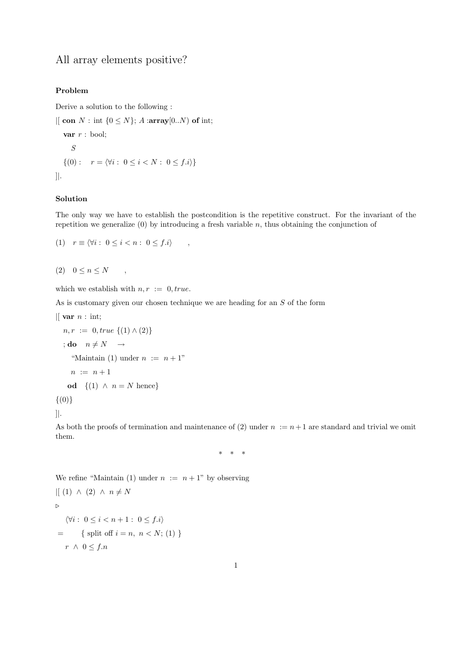## All array elements positive?

## Problem

Derive a solution to the following :

 $\left| \right|$  con  $N$ : int  $\{0 \leq N\}$ ; A :array $\left[ 0..N \right)$  of int; var  $r$  : bool; S  $\{(0): r = \langle \forall i : 0 \le i < N : 0 \le f.i \rangle\}$ ]|.

## Solution

The only way we have to establish the postcondition is the repetitive construct. For the invariant of the repetition we generalize  $(0)$  by introducing a fresh variable n, thus obtaining the conjunction of

$$
(1) \quad r \equiv \langle \forall i : 0 \le i < n : 0 \le f.i \rangle \quad ,
$$

$$
(2) \quad 0 \le n \le N \qquad ,
$$

which we establish with  $n, r := 0, true$ .

As is customary given our chosen technique we are heading for an S of the form

$$
\begin{aligned}\n\text{[Var } n: \text{ int;} \\
n, r &:= 0, \text{true } \{(1) \land (2)\} \\
\text{; do } n \neq N &\rightarrow \\
\text{``Maintain (1) under } n &:= n + 1 \\
n &:= n + 1 \\
\text{od } \{(1) \land n = N \text{ hence}\}\n\end{aligned}
$$

 $\{(0)\}\$ 

]|.

As both the proofs of termination and maintenance of (2) under  $n := n+1$  are standard and trivial we omit them.

\* \* \*

We refine "Maintain (1) under  $n := n + 1$ " by observing  $|[ (1) \wedge (2) \wedge n \neq N]$  $\triangleright$  $\forall i : 0 \leq i < n+1 : 0 \leq f.i$ = { split off  $i = n, n < N$ ; (1) }  $r \wedge 0 \leq f.n$